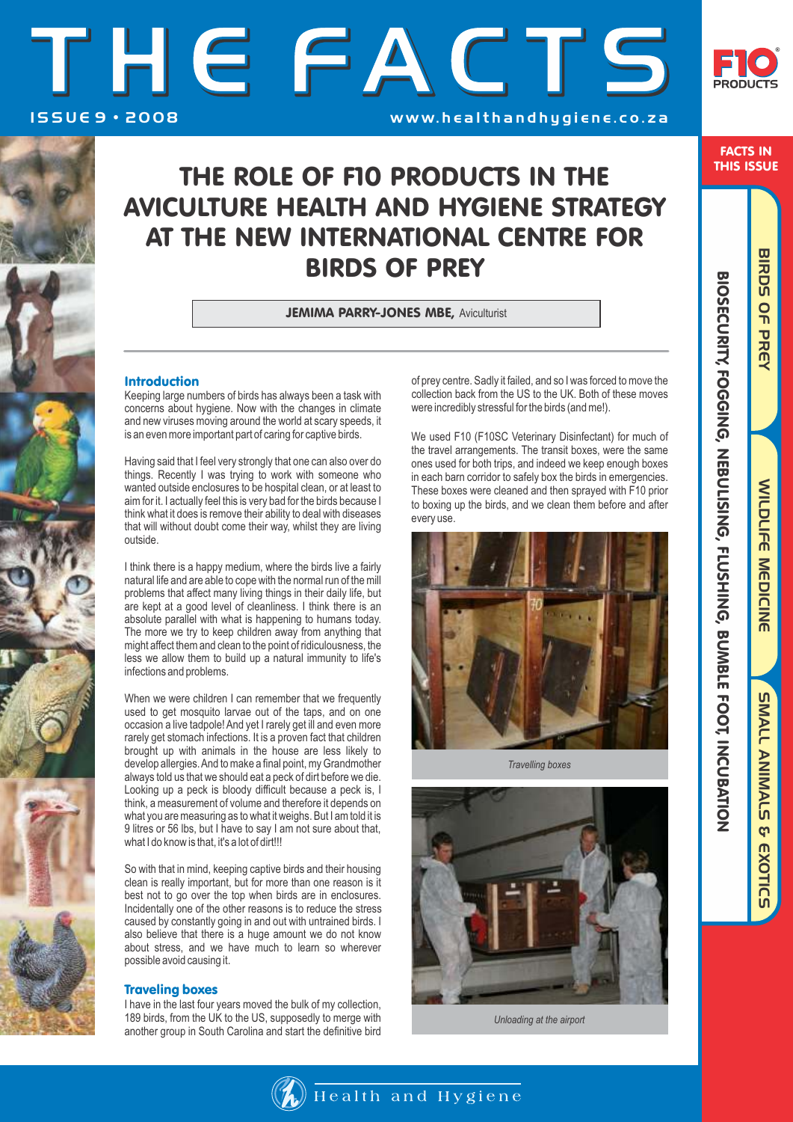



FACTS IN THIS ISSUE

BIRDS OF PREY

# THE ROLE OF F10 PRODUCTS IN THE AVICULTURE HEALTH AND HYGIENE STRATEGY AT THE NEW INTERNATIONAL CENTRE FOR BIRDS OF PREY

**JEMIMA PARRY-JONES MBE, Aviculturist** 

# Introduction

Keeping large numbers of birds has always been a task with concerns about hygiene. Now with the changes in climate and new viruses moving around the world at scary speeds, it is an even more important part of caring for captive birds.

Having said that I feel very strongly that one can also over do things. Recently I was trying to work with someone who wanted outside enclosures to be hospital clean, or at least to aim for it. I actually feel this is very bad for the birds because I think what it does is remove their ability to deal with diseases that will without doubt come their way, whilst they are living outside.

I think there is a happy medium, where the birds live a fairly natural life and are able to cope with the normal run of the mill problems that affect many living things in their daily life, but are kept at a good level of cleanliness. I think there is an absolute parallel with what is happening to humans today. The more we try to keep children away from anything that might affect them and clean to the point of ridiculousness, the less we allow them to build up a natural immunity to life's infections and problems.

When we were children I can remember that we frequently used to get mosquito larvae out of the taps, and on one occasion a live tadpole! And yet I rarely get ill and even more rarely get stomach infections. It is a proven fact that children brought up with animals in the house are less likely to develop allergies. And to make a final point, my Grandmother always told us that we should eat a peck of dirt before we die. Looking up a peck is bloody difficult because a peck is, I think, a measurement of volume and therefore it depends on what you are measuring as to what it weighs. But I am told it is 9 litres or 56 lbs, but I have to say I am not sure about that, what I do know is that, it's a lot of dirt!!!

So with that in mind, keeping captive birds and their housing clean is really important, but for more than one reason is it best not to go over the top when birds are in enclosures. Incidentally one of the other reasons is to reduce the stress caused by constantly going in and out with untrained birds. I also believe that there is a huge amount we do not know about stress, and we have much to learn so wherever possible avoid causing it.

## Traveling boxes

I have in the last four years moved the bulk of my collection, 189 birds, from the UK to the US, supposedly to merge with another group in South Carolina and start the definitive bird of prey centre. Sadly it failed, and so I was forced to move the collection back from the US to the UK. Both of these moves were incredibly stressful for the birds (and me!).

We used F10 (F10SC Veterinary Disinfectant) for much of the travel arrangements. The transit boxes, were the same ones used for both trips, and indeed we keep enough boxes in each barn corridor to safely box the birds in emergencies. These boxes were cleaned and then sprayed with F10 prior to boxing up the birds, and we clean them before and after every use.



*Travelling boxes*



*Unloading at the airport*

BIRDS OF PREY WILDLIFE MEDICINE BIRDS OF PREY PIRDS OF PREY

WILDLIFE MEDICINE

SMALL ANIMALS & EXOTIC

**5 EXOTICS** 

**SUALL ANIMALS** 

 $\mathcal{H}_{\mathbf{a}}$  Health and Hygiene